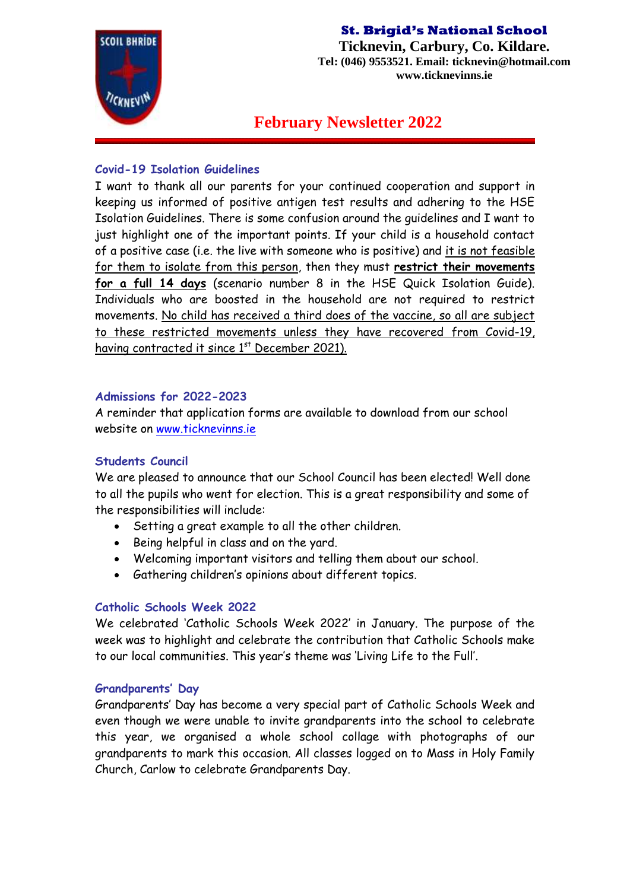

**Ticknevin, Carbury, Co. Kildare. Tel: (046) 9553521. Email: ticknevin@hotmail.com www.ticknevinns.ie**

**February Newsletter 2022**

## **Covid-19 Isolation Guidelines**

I want to thank all our parents for your continued cooperation and support in keeping us informed of positive antigen test results and adhering to the HSE Isolation Guidelines. There is some confusion around the guidelines and I want to just highlight one of the important points. If your child is a household contact of a positive case (i.e. the live with someone who is positive) and it is not feasible for them to isolate from this person, then they must **restrict their movements for a full 14 days** (scenario number 8 in the HSE Quick Isolation Guide). Individuals who are boosted in the household are not required to restrict movements. No child has received a third does of the vaccine, so all are subject to these restricted movements unless they have recovered from Covid-19, having contracted it since 1<sup>st</sup> December 2021).

## **Admissions for 2022-2023**

A reminder that application forms are available to download from our school website on [www.ticknevinns.ie](http://www.ticknevinns.ie/)

# **Students Council**

We are pleased to announce that our School Council has been elected! Well done to all the pupils who went for election. This is a great responsibility and some of the responsibilities will include:

- Setting a great example to all the other children.
- Being helpful in class and on the yard.
- Welcoming important visitors and telling them about our school.
- Gathering children's opinions about different topics.

# **Catholic Schools Week 2022**

We celebrated 'Catholic Schools Week 2022' in January. The purpose of the week was to highlight and celebrate the contribution that Catholic Schools make to our local communities. This year's theme was 'Living Life to the Full'.

# **Grandparents' Day**

Grandparents' Day has become a very special part of Catholic Schools Week and even though we were unable to invite grandparents into the school to celebrate this year, we organised a whole school collage with photographs of our grandparents to mark this occasion. All classes logged on to Mass in Holy Family Church, Carlow to celebrate Grandparents Day.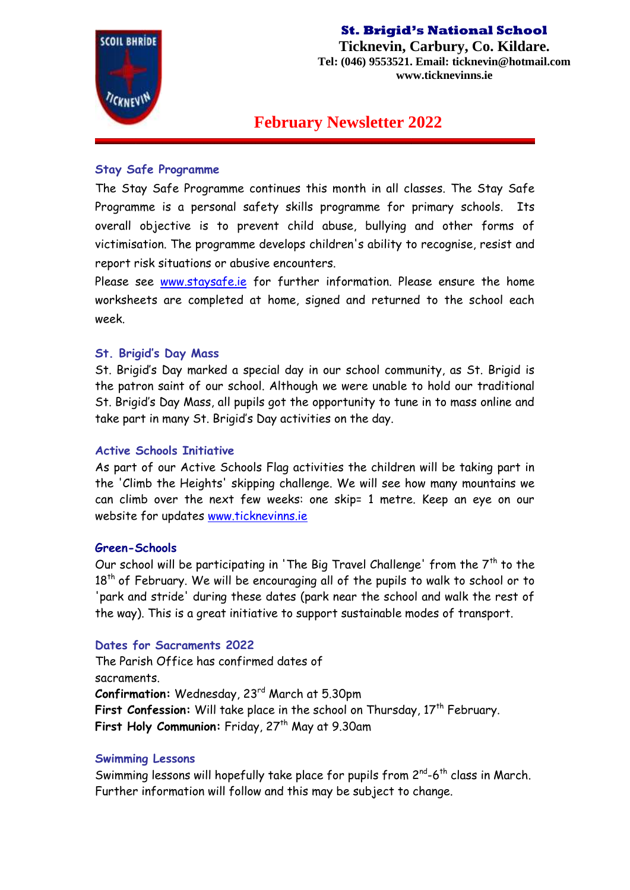

**Ticknevin, Carbury, Co. Kildare. Tel: (046) 9553521. Email: ticknevin@hotmail.com www.ticknevinns.ie**

# **February Newsletter 2022**

#### **Stay Safe Programme**

The Stay Safe Programme continues this month in all classes. The Stay Safe Programme is a personal safety skills programme for primary schools. Its overall objective is to prevent child abuse, bullying and other forms of victimisation. The programme develops children's ability to recognise, resist and report risk situations or abusive encounters.

Please see [www.staysafe.ie](http://www.staysafe.ie/) for further information. Please ensure the home worksheets are completed at home, signed and returned to the school each week.

#### **St. Brigid's Day Mass**

St. Brigid's Day marked a special day in our school community, as St. Brigid is the patron saint of our school. Although we were unable to hold our traditional St. Brigid's Day Mass, all pupils got the opportunity to tune in to mass online and take part in many St. Brigid's Day activities on the day.

#### **Active Schools Initiative**

As part of our Active Schools Flag activities the children will be taking part in the 'Climb the Heights' skipping challenge. We will see how many mountains we can climb over the next few weeks: one skip= 1 metre. Keep an eye on our website for updates [www.ticknevinns.ie](http://www.ticknevinns.ie/)

#### **Green-Schools**

Our school will be participating in 'The Big Travel Challenge' from the  $7<sup>th</sup>$  to the 18<sup>th</sup> of February. We will be encouraging all of the pupils to walk to school or to 'park and stride' during these dates (park near the school and walk the rest of the way). This is a great initiative to support sustainable modes of transport.

#### **Dates for Sacraments 2022**

The Parish Office has confirmed dates of sacraments. **Confirmation:** Wednesday, 23rd March at 5.30pm First Confession: Will take place in the school on Thursday, 17<sup>th</sup> February. First Holy Communion: Friday, 27<sup>th</sup> May at 9.30am

#### **Swimming Lessons**

Swimming lessons will hopefully take place for pupils from  $2^{nd}$ -6<sup>th</sup> class in March. Further information will follow and this may be subject to change.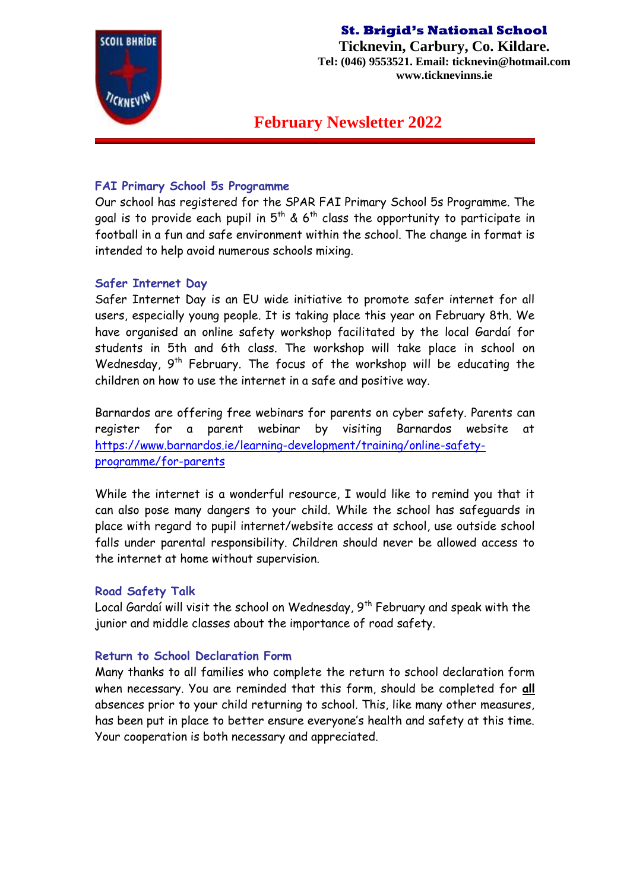

**Ticknevin, Carbury, Co. Kildare. Tel: (046) 9553521. Email: ticknevin@hotmail.com www.ticknevinns.ie**

**February Newsletter 2022**

### **FAI Primary School 5s Programme**

Our school has registered for the SPAR FAI Primary School 5s Programme. The goal is to provide each pupil in  $5<sup>th</sup>$  & 6<sup>th</sup> class the opportunity to participate in football in a fun and safe environment within the school. The change in format is intended to help avoid numerous schools mixing.

## **Safer Internet Day**

Safer Internet Day is an EU wide initiative to promote safer internet for all users, especially young people. It is taking place this year on February 8th. We have organised an online safety workshop facilitated by the local Gardaí for students in 5th and 6th class. The workshop will take place in school on Wednesday,  $9<sup>th</sup>$  February. The focus of the workshop will be educating the children on how to use the internet in a safe and positive way.

Barnardos are offering free webinars for parents on cyber safety. Parents can register for a parent webinar by visiting Barnardos website at [https://www.barnardos.ie/learning-development/training/online-safety](https://www.barnardos.ie/learning-development/training/online-safety-programme/for-parents)[programme/for-parents](https://www.barnardos.ie/learning-development/training/online-safety-programme/for-parents)

While the internet is a wonderful resource, I would like to remind you that it can also pose many dangers to your child. While the school has safeguards in place with regard to pupil internet/website access at school, use outside school falls under parental responsibility. Children should never be allowed access to the internet at home without supervision.

### **Road Safety Talk**

Local Gardaí will visit the school on Wednesday,  $9<sup>th</sup>$  February and speak with the junior and middle classes about the importance of road safety.

### **Return to School Declaration Form**

Many thanks to all families who complete the return to school declaration form when necessary. You are reminded that this form, should be completed for **all** absences prior to your child returning to school. This, like many other measures, has been put in place to better ensure everyone's health and safety at this time. Your cooperation is both necessary and appreciated.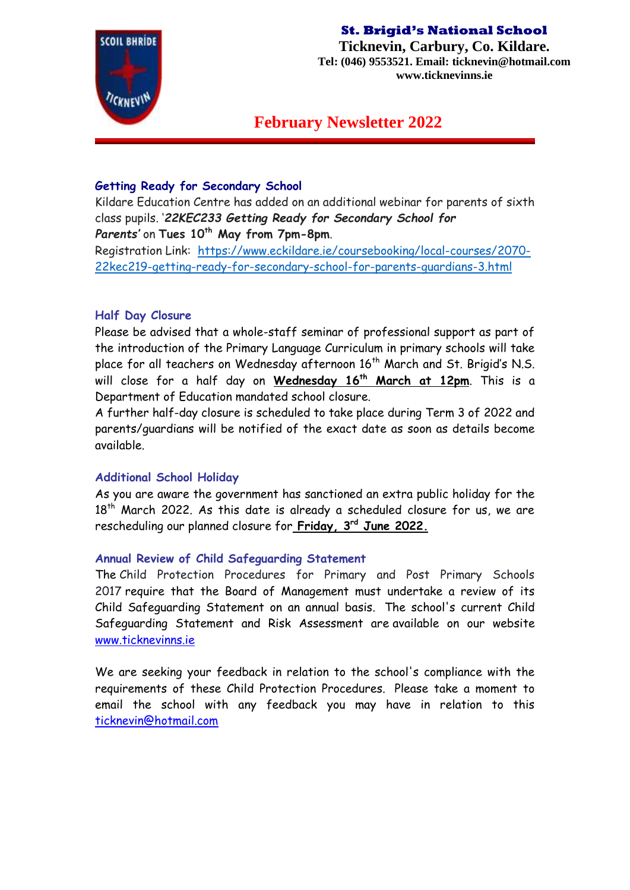

**Ticknevin, Carbury, Co. Kildare. Tel: (046) 9553521. Email: ticknevin@hotmail.com www.ticknevinns.ie**

# **February Newsletter 2022**

# **Getting Ready for Secondary School**

Kildare Education Centre has added on an additional webinar for parents of sixth class pupils. '*22KEC233 Getting Ready for Secondary School for Parents'* on **Tues 10th May from 7pm-8pm**.

Registration Link: [https://www.eckildare.ie/coursebooking/local-courses/2070-](https://www.eckildare.ie/coursebooking/local-courses/2070-22kec219-getting-ready-for-secondary-school-for-parents-guardians-3.html) [22kec219-getting-ready-for-secondary-school-for-parents-guardians-3.html](https://www.eckildare.ie/coursebooking/local-courses/2070-22kec219-getting-ready-for-secondary-school-for-parents-guardians-3.html)

## **Half Day Closure**

Please be advised that a whole-staff seminar of professional support as part of the introduction of the Primary Language Curriculum in primary schools will take place for all teachers on Wednesday afternoon 16<sup>th</sup> March and St. Brigid's N.S. will close for a half day on **Wednesday 16th March at 12pm**. This is a Department of Education mandated school closure.

A further half-day closure is scheduled to take place during Term 3 of 2022 and parents/guardians will be notified of the exact date as soon as details become available.

### **Additional School Holiday**

As you are aware the government has sanctioned an extra public holiday for the 18<sup>th</sup> March 2022. As this date is already a scheduled closure for us, we are rescheduling our planned closure for **Friday, 3rd June 2022.** 

### **Annual Review of Child Safeguarding Statement**

The Child Protection Procedures for Primary and Post Primary Schools 2017 require that the Board of Management must undertake a review of its Child Safeguarding Statement on an annual basis. The school's current Child Safeguarding Statement and Risk Assessment are available on our website [www.ticknevinns.ie](http://www.ticknevinns.ie/)

We are seeking your feedback in relation to the school's compliance with the requirements of these Child Protection Procedures. Please take a moment to email the school with any feedback you may have in relation to this [ticknevin@hotmail.com](mailto:ticknevin@hotmail.com)